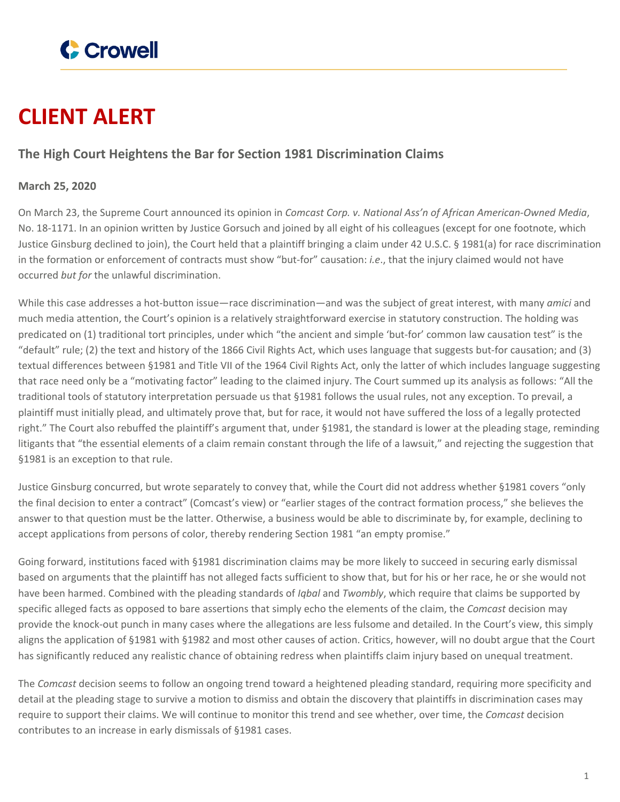

# **CLIENT ALERT**

## **The High Court Heightens the Bar for Section 1981 Discrimination Claims**

## **March 25, 2020**

On March 23, the Supreme Court announced its opinion in *Comcast Corp. v. National Ass'n of African American-Owned Media*, No. 18-1171. In an opinion written by Justice Gorsuch and joined by all eight of his colleagues (except for one footnote, which Justice Ginsburg declined to join), the Court held that a plaintiff bringing a claim under 42 U.S.C. § 1981(a) for race discrimination in the formation or enforcement of contracts must show "but-for" causation: *i.e*., that the injury claimed would not have occurred *but for* the unlawful discrimination.

While this case addresses a hot-button issue—race discrimination—and was the subject of great interest, with many *amici* and much media attention, the Court's opinion is a relatively straightforward exercise in statutory construction. The holding was predicated on (1) traditional tort principles, under which "the ancient and simple 'but-for' common law causation test" is the "default" rule; (2) the text and history of the 1866 Civil Rights Act, which uses language that suggests but-for causation; and (3) textual differences between §1981 and Title VII of the 1964 Civil Rights Act, only the latter of which includes language suggesting that race need only be a "motivating factor" leading to the claimed injury. The Court summed up its analysis as follows: "All the traditional tools of statutory interpretation persuade us that §1981 follows the usual rules, not any exception. To prevail, a plaintiff must initially plead, and ultimately prove that, but for race, it would not have suffered the loss of a legally protected right." The Court also rebuffed the plaintiff's argument that, under §1981, the standard is lower at the pleading stage, reminding litigants that "the essential elements of a claim remain constant through the life of a lawsuit," and rejecting the suggestion that §1981 is an exception to that rule.

Justice Ginsburg concurred, but wrote separately to convey that, while the Court did not address whether §1981 covers "only the final decision to enter a contract" (Comcast's view) or "earlier stages of the contract formation process," she believes the answer to that question must be the latter. Otherwise, a business would be able to discriminate by, for example, declining to accept applications from persons of color, thereby rendering Section 1981 "an empty promise."

Going forward, institutions faced with §1981 discrimination claims may be more likely to succeed in securing early dismissal based on arguments that the plaintiff has not alleged facts sufficient to show that, but for his or her race, he or she would not have been harmed. Combined with the pleading standards of *Iqbal* and *Twombly*, which require that claims be supported by specific alleged facts as opposed to bare assertions that simply echo the elements of the claim, the *Comcast* decision may provide the knock-out punch in many cases where the allegations are less fulsome and detailed. In the Court's view, this simply aligns the application of §1981 with §1982 and most other causes of action. Critics, however, will no doubt argue that the Court has significantly reduced any realistic chance of obtaining redress when plaintiffs claim injury based on unequal treatment.

The *Comcast* decision seems to follow an ongoing trend toward a heightened pleading standard, requiring more specificity and detail at the pleading stage to survive a motion to dismiss and obtain the discovery that plaintiffs in discrimination cases may require to support their claims. We will continue to monitor this trend and see whether, over time, the *Comcast* decision contributes to an increase in early dismissals of §1981 cases.